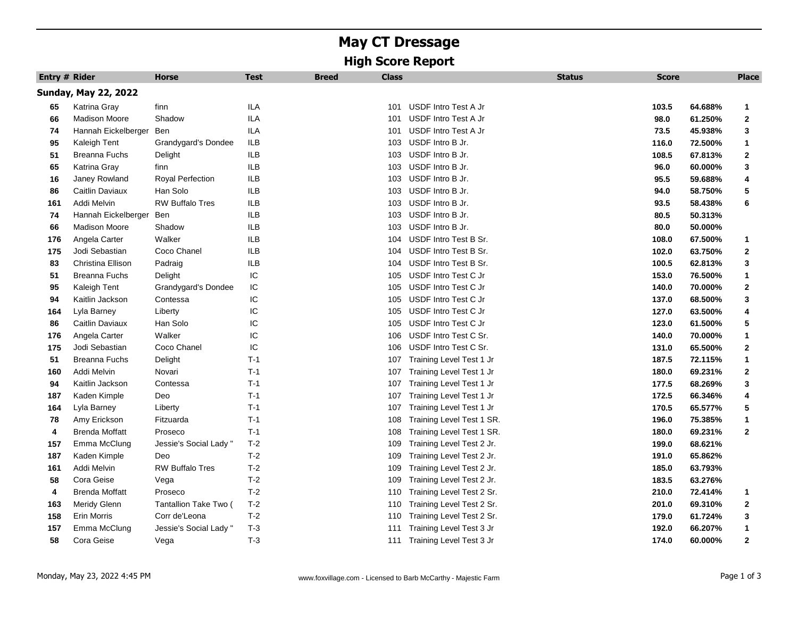## **May CT Dressage High Score Report**

| Entry # Rider |                             | <b>Horse</b>           | <b>Test</b> | <b>Breed</b><br><b>Class</b> |                           | <b>Status</b> | <b>Score</b> |         | <b>Place</b> |
|---------------|-----------------------------|------------------------|-------------|------------------------------|---------------------------|---------------|--------------|---------|--------------|
|               | <b>Sunday, May 22, 2022</b> |                        |             |                              |                           |               |              |         |              |
| 65            | Katrina Gray                | finn                   | ILA         | 101                          | USDF Intro Test A Jr      |               | 103.5        | 64.688% | $\mathbf{1}$ |
| 66            | <b>Madison Moore</b>        | Shadow                 | ILA         | 101                          | USDF Intro Test A Jr      |               | 98.0         | 61.250% | 2            |
| 74            | Hannah Eickelberger         | Ben                    | ILA         | 101                          | USDF Intro Test A Jr      |               | 73.5         | 45.938% | 3            |
| 95            | Kaleigh Tent                | Grandygard's Dondee    | ILB         | 103                          | USDF Intro B Jr.          |               | 116.0        | 72.500% | $\mathbf{1}$ |
| 51            | Breanna Fuchs               | Delight                | ILB         | 103                          | USDF Intro B Jr.          |               | 108.5        | 67.813% | $\mathbf 2$  |
| 65            | Katrina Gray                | finn                   | ILB         | 103                          | USDF Intro B Jr.          |               | 96.0         | 60.000% | 3            |
| 16            | Janey Rowland               | Royal Perfection       | ILB         | 103                          | USDF Intro B Jr.          |               | 95.5         | 59.688% | 4            |
| 86            | Caitlin Daviaux             | Han Solo               | ILB         | 103                          | USDF Intro B Jr.          |               | 94.0         | 58.750% | 5            |
| 161           | Addi Melvin                 | <b>RW Buffalo Tres</b> | ILB         | 103                          | USDF Intro B Jr.          |               | 93.5         | 58.438% | 6            |
| 74            | Hannah Eickelberger         | Ben                    | ILB         | 103                          | USDF Intro B Jr.          |               | 80.5         | 50.313% |              |
| 66            | <b>Madison Moore</b>        | Shadow                 | ILB         | 103                          | USDF Intro B Jr.          |               | 80.0         | 50.000% |              |
| 176           | Angela Carter               | Walker                 | ILB         | 104                          | USDF Intro Test B Sr.     |               | 108.0        | 67.500% | $\mathbf{1}$ |
| 175           | Jodi Sebastian              | Coco Chanel            | <b>ILB</b>  | 104                          | USDF Intro Test B Sr.     |               | 102.0        | 63.750% | $\mathbf 2$  |
| 83            | Christina Ellison           | Padraig                | ILB         | 104                          | USDF Intro Test B Sr.     |               | 100.5        | 62.813% | 3            |
| 51            | Breanna Fuchs               | Delight                | IC          | 105                          | USDF Intro Test C Jr      |               | 153.0        | 76.500% | $\mathbf{1}$ |
| 95            | Kaleigh Tent                | Grandygard's Dondee    | IC          | 105                          | USDF Intro Test C Jr      |               | 140.0        | 70.000% | 2            |
| 94            | Kaitlin Jackson             | Contessa               | IC          | 105                          | USDF Intro Test C Jr      |               | 137.0        | 68.500% | 3            |
| 164           | Lyla Barney                 | Liberty                | IC          | 105                          | USDF Intro Test C Jr      |               | 127.0        | 63.500% | 4            |
| 86            | Caitlin Daviaux             | Han Solo               | IC          | 105                          | USDF Intro Test C Jr      |               | 123.0        | 61.500% | 5            |
| 176           | Angela Carter               | Walker                 | IC          | 106                          | USDF Intro Test C Sr.     |               | 140.0        | 70.000% | 1            |
| 175           | Jodi Sebastian              | Coco Chanel            | IC          | 106                          | USDF Intro Test C Sr.     |               | 131.0        | 65.500% | $\mathbf 2$  |
| 51            | <b>Breanna Fuchs</b>        | Delight                | $T-1$       | 107                          | Training Level Test 1 Jr  |               | 187.5        | 72.115% | 1            |
| 160           | Addi Melvin                 | Novari                 | $T-1$       | 107                          | Training Level Test 1 Jr  |               | 180.0        | 69.231% | $\mathbf 2$  |
| 94            | Kaitlin Jackson             | Contessa               | $T-1$       | 107                          | Training Level Test 1 Jr  |               | 177.5        | 68.269% | 3            |
| 187           | Kaden Kimple                | Deo                    | $T-1$       | 107                          | Training Level Test 1 Jr  |               | 172.5        | 66.346% | 4            |
| 164           | Lyla Barney                 | Liberty                | $T-1$       | 107                          | Training Level Test 1 Jr  |               | 170.5        | 65.577% | 5            |
| 78            | Amy Erickson                | Fitzuarda              | $T-1$       | 108                          | Training Level Test 1 SR. |               | 196.0        | 75.385% | $\mathbf{1}$ |
| 4             | Brenda Moffatt              | Proseco                | $T-1$       | 108                          | Training Level Test 1 SR. |               | 180.0        | 69.231% | $\mathbf{2}$ |
| 157           | Emma McClung                | Jessie's Social Lady " | $T-2$       | 109                          | Training Level Test 2 Jr. |               | 199.0        | 68.621% |              |
| 187           | Kaden Kimple                | Deo                    | $T-2$       | 109                          | Training Level Test 2 Jr. |               | 191.0        | 65.862% |              |
| 161           | Addi Melvin                 | <b>RW Buffalo Tres</b> | $T-2$       | 109                          | Training Level Test 2 Jr. |               | 185.0        | 63.793% |              |
| 58            | Cora Geise                  | Vega                   | $T-2$       | 109                          | Training Level Test 2 Jr. |               | 183.5        | 63.276% |              |
| 4             | Brenda Moffatt              | Proseco                | $T-2$       | 110                          | Training Level Test 2 Sr. |               | 210.0        | 72.414% | 1            |
| 163           | Meridy Glenn                | Tantallion Take Two (  | $T-2$       | 110                          | Training Level Test 2 Sr. |               | 201.0        | 69.310% | 2            |
| 158           | Erin Morris                 | Corr de'Leona          | $T-2$       | 110                          | Training Level Test 2 Sr. |               | 179.0        | 61.724% | 3            |
| 157           | Emma McClung                | Jessie's Social Lady ' | $T-3$       | 111                          | Training Level Test 3 Jr  |               | 192.0        | 66.207% | 1            |
| 58            | Cora Geise                  | Vega                   | $T-3$       | 111                          | Training Level Test 3 Jr  |               | 174.0        | 60.000% | $\mathbf 2$  |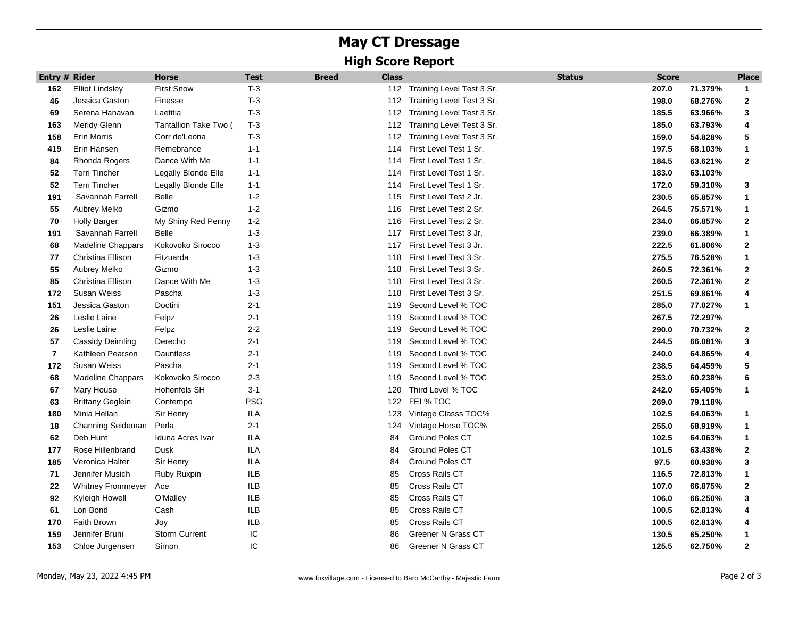## **May CT Dressage High Score Report**

| <b>Entry # Rider</b> |                          | <b>Horse</b>          | <b>Test</b> | <b>Class</b><br><b>Breed</b> |                           | <b>Status</b> | <b>Score</b> |         | <b>Place</b> |
|----------------------|--------------------------|-----------------------|-------------|------------------------------|---------------------------|---------------|--------------|---------|--------------|
| 162                  | <b>Elliot Lindsley</b>   | <b>First Snow</b>     | $T-3$       | 112                          | Training Level Test 3 Sr. |               | 207.0        | 71.379% | $\mathbf{1}$ |
| 46                   | Jessica Gaston           | Finesse               | $T-3$       | 112                          | Training Level Test 3 Sr. |               | 198.0        | 68.276% | $\mathbf{2}$ |
| 69                   | Serena Hanavan           | Laetitia              | $T-3$       | 112                          | Training Level Test 3 Sr. |               | 185.5        | 63.966% | 3            |
| 163                  | <b>Meridy Glenn</b>      | Tantallion Take Two ( | $T-3$       | 112                          | Training Level Test 3 Sr. |               | 185.0        | 63.793% | 4            |
| 158                  | Erin Morris              | Corr de'Leona         | $T-3$       | 112                          | Training Level Test 3 Sr. |               | 159.0        | 54.828% | 5            |
| 419                  | Erin Hansen              | Remebrance            | $1 - 1$     | 114                          | First Level Test 1 Sr.    |               | 197.5        | 68.103% | 1            |
| 84                   | Rhonda Rogers            | Dance With Me         | $1 - 1$     | 114                          | First Level Test 1 Sr.    |               | 184.5        | 63.621% | $\mathbf{2}$ |
| 52                   | <b>Terri Tincher</b>     | Legally Blonde Elle   | $1 - 1$     | 114                          | First Level Test 1 Sr.    |               | 183.0        | 63.103% |              |
| 52                   | <b>Terri Tincher</b>     | Legally Blonde Elle   | $1 - 1$     | 114                          | First Level Test 1 Sr.    |               | 172.0        | 59.310% | 3            |
| 191                  | Savannah Farrell         | <b>Belle</b>          | $1 - 2$     | 115                          | First Level Test 2 Jr.    |               | 230.5        | 65.857% | 1            |
| 55                   | Aubrey Melko             | Gizmo                 | $1 - 2$     | 116                          | First Level Test 2 Sr.    |               | 264.5        | 75.571% | $\mathbf{1}$ |
| 70                   | <b>Holly Barger</b>      | My Shiny Red Penny    | $1 - 2$     | 116                          | First Level Test 2 Sr.    |               | 234.0        | 66.857% | $\mathbf{2}$ |
| 191                  | Savannah Farrell         | <b>Belle</b>          | $1 - 3$     | 117                          | First Level Test 3 Jr.    |               | 239.0        | 66.389% | 1            |
| 68                   | <b>Madeline Chappars</b> | Kokovoko Sirocco      | $1 - 3$     | 117                          | First Level Test 3 Jr.    |               | 222.5        | 61.806% | 2            |
| 77                   | Christina Ellison        | Fitzuarda             | $1 - 3$     | 118                          | First Level Test 3 Sr.    |               | 275.5        | 76.528% | 1            |
| 55                   | Aubrey Melko             | Gizmo                 | $1 - 3$     | 118                          | First Level Test 3 Sr.    |               | 260.5        | 72.361% | 2            |
| 85                   | Christina Ellison        | Dance With Me         | $1 - 3$     | 118                          | First Level Test 3 Sr.    |               | 260.5        | 72.361% | $\mathbf{2}$ |
| 172                  | Susan Weiss              | Pascha                | $1 - 3$     | 118                          | First Level Test 3 Sr.    |               | 251.5        | 69.861% | 4            |
| 151                  | Jessica Gaston           | Doctini               | $2 - 1$     | 119                          | Second Level % TOC        |               | 285.0        | 77.027% | 1            |
| 26                   | Leslie Laine             | Felpz                 | $2 - 1$     | 119                          | Second Level % TOC        |               | 267.5        | 72.297% |              |
| 26                   | Leslie Laine             | Felpz                 | $2 - 2$     | 119                          | Second Level % TOC        |               | 290.0        | 70.732% | 2            |
| 57                   | Cassidy Deimling         | Derecho               | $2 - 1$     | 119                          | Second Level % TOC        |               | 244.5        | 66.081% | 3            |
| $\overline{7}$       | Kathleen Pearson         | Dauntless             | $2 - 1$     | 119                          | Second Level % TOC        |               | 240.0        | 64.865% | 4            |
| 172                  | Susan Weiss              | Pascha                | $2 - 1$     | 119                          | Second Level % TOC        |               | 238.5        | 64.459% | 5            |
| 68                   | <b>Madeline Chappars</b> | Kokovoko Sirocco      | $2 - 3$     | 119                          | Second Level % TOC        |               | 253.0        | 60.238% | 6            |
| 67                   | Mary House               | Hohenfels SH          | $3 - 1$     | 120                          | Third Level % TOC         |               | 242.0        | 65.405% | 1            |
| 63                   | <b>Brittany Geglein</b>  | Contempo              | <b>PSG</b>  | 122                          | FEI % TOC                 |               | 269.0        | 79.118% |              |
| 180                  | Minia Hellan             | Sir Henry             | ILA         | 123                          | Vintage Classs TOC%       |               | 102.5        | 64.063% | 1            |
| 18                   | Channing Seideman        | Perla                 | $2 - 1$     | 124                          | Vintage Horse TOC%        |               | 255.0        | 68.919% | 1            |
| 62                   | Deb Hunt                 | Iduna Acres Ivar      | ILA         | 84                           | Ground Poles CT           |               | 102.5        | 64.063% | $\mathbf{1}$ |
| 177                  | Rose Hillenbrand         | Dusk                  | ILA         | 84                           | Ground Poles CT           |               | 101.5        | 63.438% | $\mathbf{2}$ |
| 185                  | Veronica Halter          | Sir Henry             | ILA         | 84                           | Ground Poles CT           |               | 97.5         | 60.938% | 3            |
| 71                   | Jennifer Musich          | Ruby Ruxpin           | ILB         | 85                           | Cross Rails CT            |               | 116.5        | 72.813% | 1            |
| 22                   | <b>Whitney Frommeyer</b> | Ace                   | ILB         | 85                           | Cross Rails CT            |               | 107.0        | 66.875% | $\mathbf{2}$ |
| 92                   | Kyleigh Howell           | O'Malley              | ILB         | 85                           | Cross Rails CT            |               | 106.0        | 66.250% | 3            |
| 61                   | Lori Bond                | Cash                  | ILB         | 85                           | Cross Rails CT            |               | 100.5        | 62.813% | 4            |
| 170                  | Faith Brown              | Joy                   | ILB         | 85                           | Cross Rails CT            |               | 100.5        | 62.813% | 4            |
| 159                  | Jennifer Bruni           | Storm Current         | IC          | 86                           | Greener N Grass CT        |               | 130.5        | 65.250% | 1            |
| 153                  | Chloe Jurgensen          | Simon                 | IC          | 86                           | Greener N Grass CT        |               | 125.5        | 62.750% | $\mathbf{2}$ |